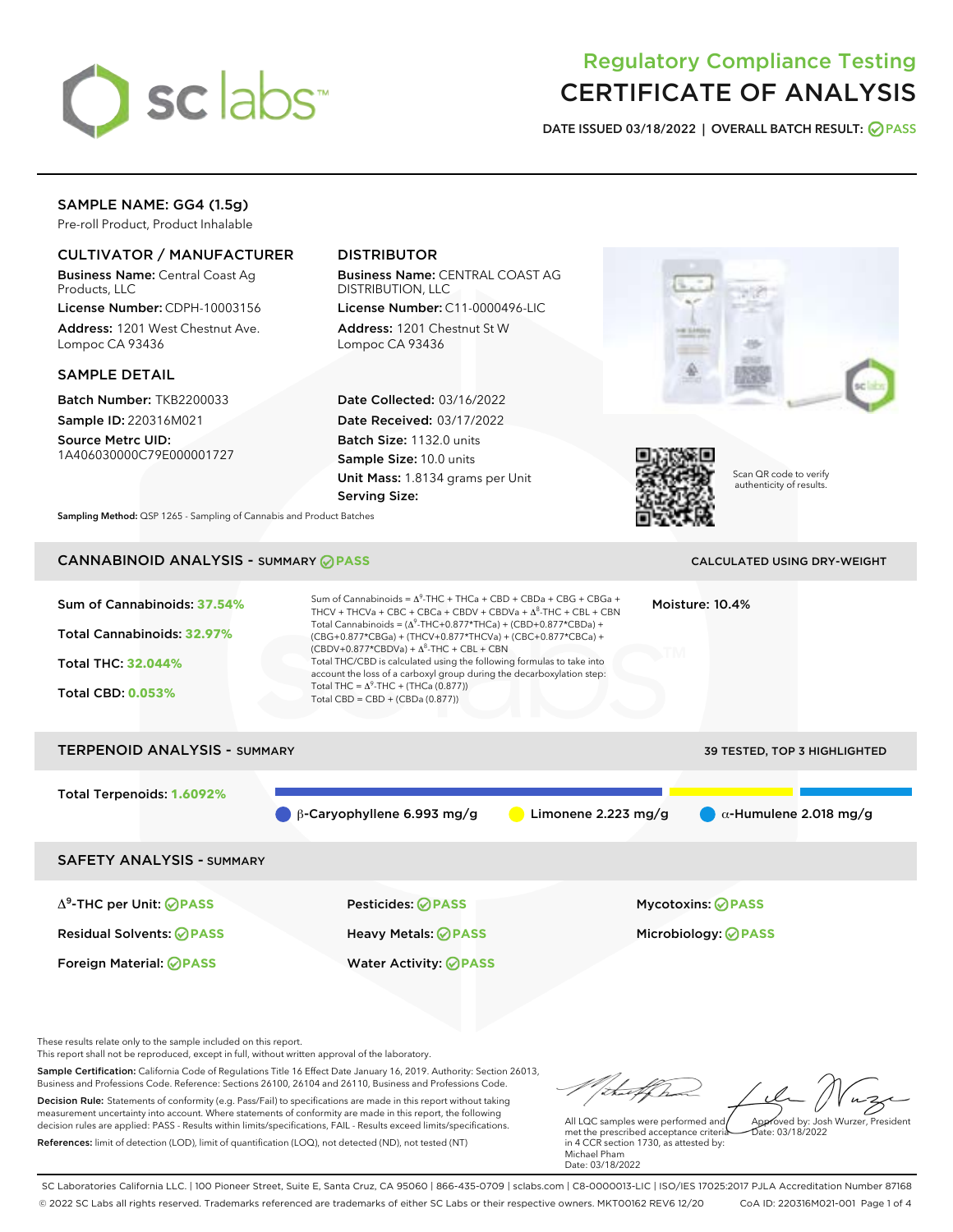

# Regulatory Compliance Testing CERTIFICATE OF ANALYSIS

DATE ISSUED 03/18/2022 | OVERALL BATCH RESULT: @ PASS

# SAMPLE NAME: GG4 (1.5g)

Pre-roll Product, Product Inhalable

# CULTIVATOR / MANUFACTURER

Business Name: Central Coast Ag Products, LLC

License Number: CDPH-10003156 Address: 1201 West Chestnut Ave. Lompoc CA 93436

## SAMPLE DETAIL

Batch Number: TKB2200033 Sample ID: 220316M021

Source Metrc UID: 1A406030000C79E000001727

# DISTRIBUTOR

Business Name: CENTRAL COAST AG DISTRIBUTION, LLC

License Number: C11-0000496-LIC Address: 1201 Chestnut St W Lompoc CA 93436

Date Collected: 03/16/2022 Date Received: 03/17/2022 Batch Size: 1132.0 units Sample Size: 10.0 units Unit Mass: 1.8134 grams per Unit Serving Size:





Scan QR code to verify authenticity of results.

Sampling Method: QSP 1265 - Sampling of Cannabis and Product Batches

# CANNABINOID ANALYSIS - SUMMARY **PASS** CALCULATED USING DRY-WEIGHT

| Sum of Cannabinoids: 37.54%<br>Total Cannabinoids: 32.97%<br><b>Total THC: 32.044%</b><br><b>Total CBD: 0.053%</b> | Sum of Cannabinoids = $\Delta^{9}$ -THC + THCa + CBD + CBDa + CBG + CBGa +<br>Moisture: 10.4%<br>THCV + THCVa + CBC + CBCa + CBDV + CBDVa + $\Lambda^8$ -THC + CBL + CBN<br>Total Cannabinoids = $(\Delta^9$ -THC+0.877*THCa) + (CBD+0.877*CBDa) +<br>(CBG+0.877*CBGa) + (THCV+0.877*THCVa) + (CBC+0.877*CBCa) +<br>$(CBDV+0.877*CBDVa) + \Delta^8$ -THC + CBL + CBN<br>Total THC/CBD is calculated using the following formulas to take into<br>account the loss of a carboxyl group during the decarboxylation step:<br>Total THC = $\Delta^9$ -THC + (THCa (0.877))<br>Total CBD = $CBD + (CBDa (0.877))$ |                       |                                                        |  |
|--------------------------------------------------------------------------------------------------------------------|--------------------------------------------------------------------------------------------------------------------------------------------------------------------------------------------------------------------------------------------------------------------------------------------------------------------------------------------------------------------------------------------------------------------------------------------------------------------------------------------------------------------------------------------------------------------------------------------------------------|-----------------------|--------------------------------------------------------|--|
| <b>TERPENOID ANALYSIS - SUMMARY</b>                                                                                |                                                                                                                                                                                                                                                                                                                                                                                                                                                                                                                                                                                                              |                       | 39 TESTED, TOP 3 HIGHLIGHTED                           |  |
| Total Terpenoids: 1.6092%                                                                                          | $\beta$ -Caryophyllene 6.993 mg/g                                                                                                                                                                                                                                                                                                                                                                                                                                                                                                                                                                            | Limonene $2.223$ mg/g | $\alpha$ -Humulene 2.018 mg/g                          |  |
| <b>SAFETY ANALYSIS - SUMMARY</b>                                                                                   |                                                                                                                                                                                                                                                                                                                                                                                                                                                                                                                                                                                                              |                       |                                                        |  |
| $\Delta^9$ -THC per Unit: <b>PASS</b><br><b>Residual Solvents: ⊘PASS</b><br>Foreign Material: <b>⊘ PASS</b>        | Pesticides: ⊘PASS<br>Heavy Metals: <b>OPASS</b><br><b>Water Activity: ⊘PASS</b>                                                                                                                                                                                                                                                                                                                                                                                                                                                                                                                              |                       | <b>Mycotoxins: ⊘PASS</b><br>Microbiology: <b>OPASS</b> |  |

These results relate only to the sample included on this report.

This report shall not be reproduced, except in full, without written approval of the laboratory.

Sample Certification: California Code of Regulations Title 16 Effect Date January 16, 2019. Authority: Section 26013, Business and Professions Code. Reference: Sections 26100, 26104 and 26110, Business and Professions Code. Decision Rule: Statements of conformity (e.g. Pass/Fail) to specifications are made in this report without taking measurement uncertainty into account. Where statements of conformity are made in this report, the following decision rules are applied: PASS - Results within limits/specifications, FAIL - Results exceed limits/specifications.

References: limit of detection (LOD), limit of quantification (LOQ), not detected (ND), not tested (NT)

Approved by: Josh Wurzer, President

Date: 03/18/2022

All LQC samples were performed and met the prescribed acceptance criteria in 4 CCR section 1730, as attested by: Michael Pham Date: 03/18/2022

SC Laboratories California LLC. | 100 Pioneer Street, Suite E, Santa Cruz, CA 95060 | 866-435-0709 | sclabs.com | C8-0000013-LIC | ISO/IES 17025:2017 PJLA Accreditation Number 87168 © 2022 SC Labs all rights reserved. Trademarks referenced are trademarks of either SC Labs or their respective owners. MKT00162 REV6 12/20 CoA ID: 220316M021-001 Page 1 of 4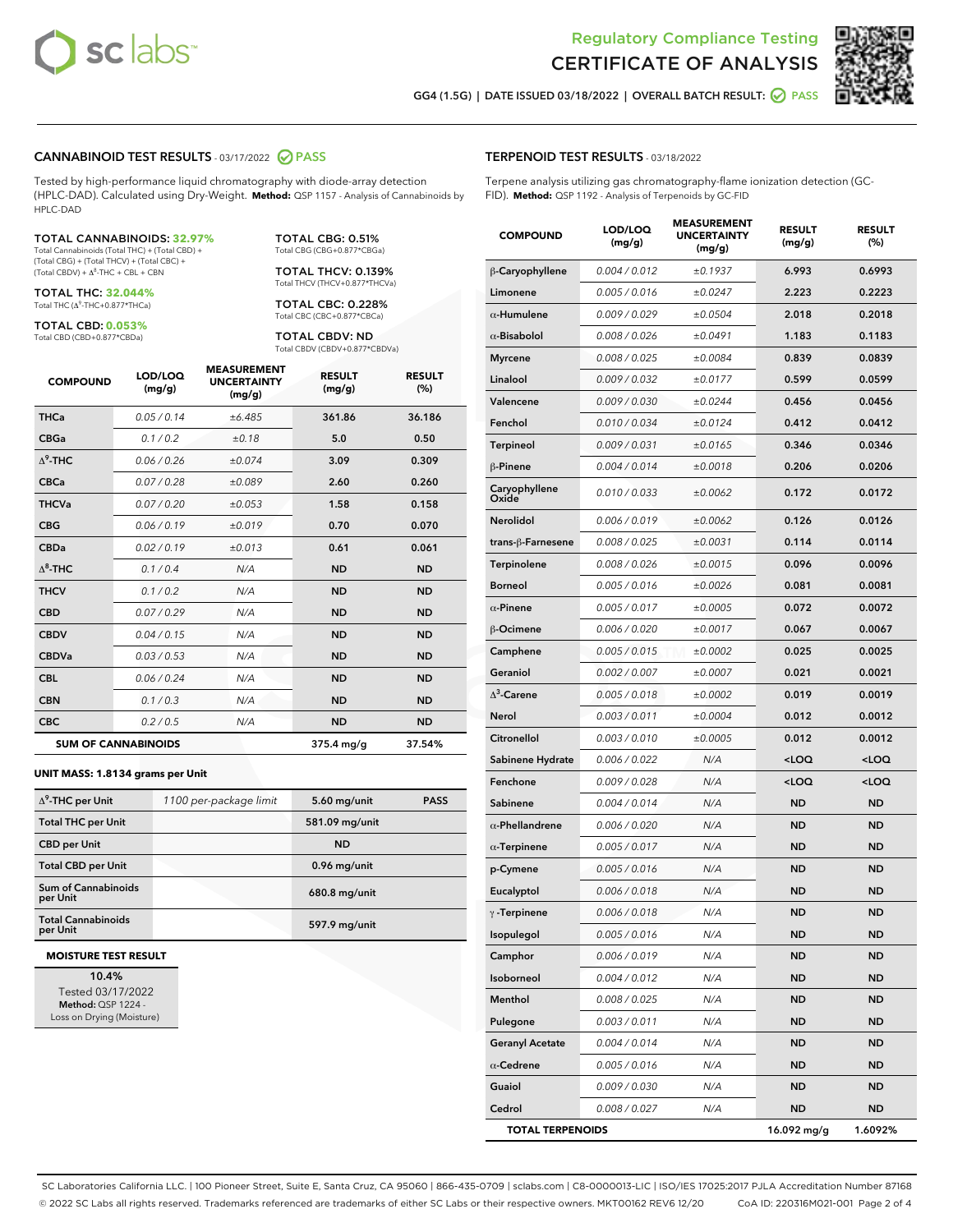



GG4 (1.5G) | DATE ISSUED 03/18/2022 | OVERALL BATCH RESULT: 2 PASS

## CANNABINOID TEST RESULTS - 03/17/2022 2 PASS

Tested by high-performance liquid chromatography with diode-array detection (HPLC-DAD). Calculated using Dry-Weight. **Method:** QSP 1157 - Analysis of Cannabinoids by HPLC-DAD

#### TOTAL CANNABINOIDS: **32.97%**

Total Cannabinoids (Total THC) + (Total CBD) + (Total CBG) + (Total THCV) + (Total CBC) +  $(Total$  CBDV) +  $\Delta$ <sup>8</sup>-THC + CBL + CBN

TOTAL THC: **32.044%** Total THC (Δ<sup>9</sup> -THC+0.877\*THCa)

TOTAL CBD: **0.053%** Total CBD (CBD+0.877\*CBDa)

Total CBC (CBC+0.877\*CBCa) TOTAL CBDV: ND Total CBDV (CBDV+0.877\*CBDVa)

TOTAL CBG: 0.51% Total CBG (CBG+0.877\*CBGa) TOTAL THCV: 0.139% Total THCV (THCV+0.877\*THCVa) TOTAL CBC: 0.228%

| <b>COMPOUND</b>  | LOD/LOO<br>(mg/g)          | <b>MEASUREMENT</b><br><b>UNCERTAINTY</b><br>(mg/g) | <b>RESULT</b><br>(mg/g) | <b>RESULT</b><br>(%) |
|------------------|----------------------------|----------------------------------------------------|-------------------------|----------------------|
| <b>THCa</b>      | 0.05/0.14                  | ±6.485                                             | 361.86                  | 36.186               |
| <b>CBGa</b>      | 0.1 / 0.2                  | ±0.18                                              | 5.0                     | 0.50                 |
| $\Lambda^9$ -THC | 0.06 / 0.26                | ±0.074                                             | 3.09                    | 0.309                |
| <b>CBCa</b>      | 0.07 / 0.28                | ±0.089                                             | 2.60                    | 0.260                |
| <b>THCVa</b>     | 0.07/0.20                  | ±0.053                                             | 1.58                    | 0.158                |
| <b>CBG</b>       | 0.06/0.19                  | ±0.019                                             | 0.70                    | 0.070                |
| <b>CBDa</b>      | 0.02 / 0.19                | ±0.013                                             | 0.61                    | 0.061                |
| $\Lambda^8$ -THC | 0.1/0.4                    | N/A                                                | <b>ND</b>               | <b>ND</b>            |
| <b>THCV</b>      | 0.1 / 0.2                  | N/A                                                | <b>ND</b>               | <b>ND</b>            |
| <b>CBD</b>       | 0.07/0.29                  | N/A                                                | <b>ND</b>               | <b>ND</b>            |
| <b>CBDV</b>      | 0.04 / 0.15                | N/A                                                | <b>ND</b>               | <b>ND</b>            |
| <b>CBDVa</b>     | 0.03/0.53                  | N/A                                                | <b>ND</b>               | <b>ND</b>            |
| <b>CBL</b>       | 0.06 / 0.24                | N/A                                                | <b>ND</b>               | <b>ND</b>            |
| <b>CBN</b>       | 0.1/0.3                    | N/A                                                | <b>ND</b>               | <b>ND</b>            |
| <b>CBC</b>       | 0.2 / 0.5                  | N/A                                                | <b>ND</b>               | <b>ND</b>            |
|                  | <b>SUM OF CANNABINOIDS</b> |                                                    | $375.4 \text{ mg/g}$    | 37.54%               |

#### **UNIT MASS: 1.8134 grams per Unit**

| $\Delta^9$ -THC per Unit               | 1100 per-package limit | $5.60$ mg/unit | <b>PASS</b> |
|----------------------------------------|------------------------|----------------|-------------|
| <b>Total THC per Unit</b>              |                        | 581.09 mg/unit |             |
| <b>CBD</b> per Unit                    |                        | <b>ND</b>      |             |
| <b>Total CBD per Unit</b>              |                        | 0.96 mg/unit   |             |
| <b>Sum of Cannabinoids</b><br>per Unit |                        | 680.8 mg/unit  |             |
| <b>Total Cannabinoids</b><br>per Unit  |                        | 597.9 mg/unit  |             |

#### **MOISTURE TEST RESULT**

10.4% Tested 03/17/2022 Method: QSP 1224 - Loss on Drying (Moisture)

## TERPENOID TEST RESULTS - 03/18/2022

Terpene analysis utilizing gas chromatography-flame ionization detection (GC-FID). **Method:** QSP 1192 - Analysis of Terpenoids by GC-FID

| <b>COMPOUND</b>         | LOD/LOQ<br>(mg/g) | <b>MEASUREMENT</b><br><b>UNCERTAINTY</b><br>(mg/g) | <b>RESULT</b><br>(mg/g)                         | <b>RESULT</b><br>$(\%)$ |
|-------------------------|-------------------|----------------------------------------------------|-------------------------------------------------|-------------------------|
| β-Caryophyllene         | 0.004 / 0.012     | ±0.1937                                            | 6.993                                           | 0.6993                  |
| Limonene                | 0.005 / 0.016     | ±0.0247                                            | 2.223                                           | 0.2223                  |
| $\alpha$ -Humulene      | 0.009 / 0.029     | ±0.0504                                            | 2.018                                           | 0.2018                  |
| $\alpha$ -Bisabolol     | 0.008 / 0.026     | ±0.0491                                            | 1.183                                           | 0.1183                  |
| <b>Myrcene</b>          | 0.008 / 0.025     | ±0.0084                                            | 0.839                                           | 0.0839                  |
| Linalool                | 0.009 / 0.032     | ±0.0177                                            | 0.599                                           | 0.0599                  |
| Valencene               | 0.009 / 0.030     | ±0.0244                                            | 0.456                                           | 0.0456                  |
| Fenchol                 | 0.010 / 0.034     | ±0.0124                                            | 0.412                                           | 0.0412                  |
| Terpineol               | 0.009 / 0.031     | ±0.0165                                            | 0.346                                           | 0.0346                  |
| $\beta$ -Pinene         | 0.004 / 0.014     | ±0.0018                                            | 0.206                                           | 0.0206                  |
| Caryophyllene<br>Oxide  | 0.010 / 0.033     | ±0.0062                                            | 0.172                                           | 0.0172                  |
| <b>Nerolidol</b>        | 0.006 / 0.019     | ±0.0062                                            | 0.126                                           | 0.0126                  |
| trans-ß-Farnesene       | 0.008 / 0.025     | ±0.0031                                            | 0.114                                           | 0.0114                  |
| Terpinolene             | 0.008 / 0.026     | ±0.0015                                            | 0.096                                           | 0.0096                  |
| Borneol                 | 0.005 / 0.016     | ±0.0026                                            | 0.081                                           | 0.0081                  |
| $\alpha$ -Pinene        | 0.005 / 0.017     | ±0.0005                                            | 0.072                                           | 0.0072                  |
| <b>B-Ocimene</b>        | 0.006 / 0.020     | ±0.0017                                            | 0.067                                           | 0.0067                  |
| Camphene                | 0.005 / 0.015     | ±0.0002                                            | 0.025                                           | 0.0025                  |
| Geraniol                | 0.002 / 0.007     | ±0.0007                                            | 0.021                                           | 0.0021                  |
| $\Delta^3$ -Carene      | 0.005 / 0.018     | ±0.0002                                            | 0.019                                           | 0.0019                  |
| Nerol                   | 0.003 / 0.011     | ±0.0004                                            | 0.012                                           | 0.0012                  |
| Citronellol             | 0.003 / 0.010     | ±0.0005                                            | 0.012                                           | 0.0012                  |
| Sabinene Hydrate        | 0.006 / 0.022     | N/A                                                | <loq< th=""><th><loq< th=""></loq<></th></loq<> | <loq< th=""></loq<>     |
| Fenchone                | 0.009 / 0.028     | N/A                                                | <loq< th=""><th><loq< th=""></loq<></th></loq<> | <loq< th=""></loq<>     |
| Sabinene                | 0.004 / 0.014     | N/A                                                | <b>ND</b>                                       | <b>ND</b>               |
| $\alpha$ -Phellandrene  | 0.006 / 0.020     | N/A                                                | <b>ND</b>                                       | <b>ND</b>               |
| $\alpha$ -Terpinene     | 0.005 / 0.017     | N/A                                                | <b>ND</b>                                       | <b>ND</b>               |
| p-Cymene                | 0.005 / 0.016     | N/A                                                | <b>ND</b>                                       | <b>ND</b>               |
| Eucalyptol              | 0.006 / 0.018     | N/A                                                | <b>ND</b>                                       | <b>ND</b>               |
| $\gamma$ -Terpinene     | 0.006 / 0.018     | N/A                                                | <b>ND</b>                                       | <b>ND</b>               |
| Isopulegol              | 0.005 / 0.016     | N/A                                                | <b>ND</b>                                       | ND                      |
| Camphor                 | 0.006 / 0.019     | N/A                                                | ND                                              | ND                      |
| Isoborneol              | 0.004 / 0.012     | N/A                                                | ND                                              | <b>ND</b>               |
| Menthol                 | 0.008 / 0.025     | N/A                                                | ND                                              | ND                      |
| Pulegone                | 0.003 / 0.011     | N/A                                                | ND                                              | ND                      |
| <b>Geranyl Acetate</b>  | 0.004 / 0.014     | N/A                                                | ND                                              | ND                      |
| $\alpha$ -Cedrene       | 0.005 / 0.016     | N/A                                                | ND                                              | ND                      |
| Guaiol                  | 0.009 / 0.030     | N/A                                                | ND                                              | ND                      |
| Cedrol                  | 0.008 / 0.027     | N/A                                                | ND                                              | <b>ND</b>               |
| <b>TOTAL TERPENOIDS</b> |                   |                                                    | 16.092 mg/g                                     | 1.6092%                 |

SC Laboratories California LLC. | 100 Pioneer Street, Suite E, Santa Cruz, CA 95060 | 866-435-0709 | sclabs.com | C8-0000013-LIC | ISO/IES 17025:2017 PJLA Accreditation Number 87168 © 2022 SC Labs all rights reserved. Trademarks referenced are trademarks of either SC Labs or their respective owners. MKT00162 REV6 12/20 CoA ID: 220316M021-001 Page 2 of 4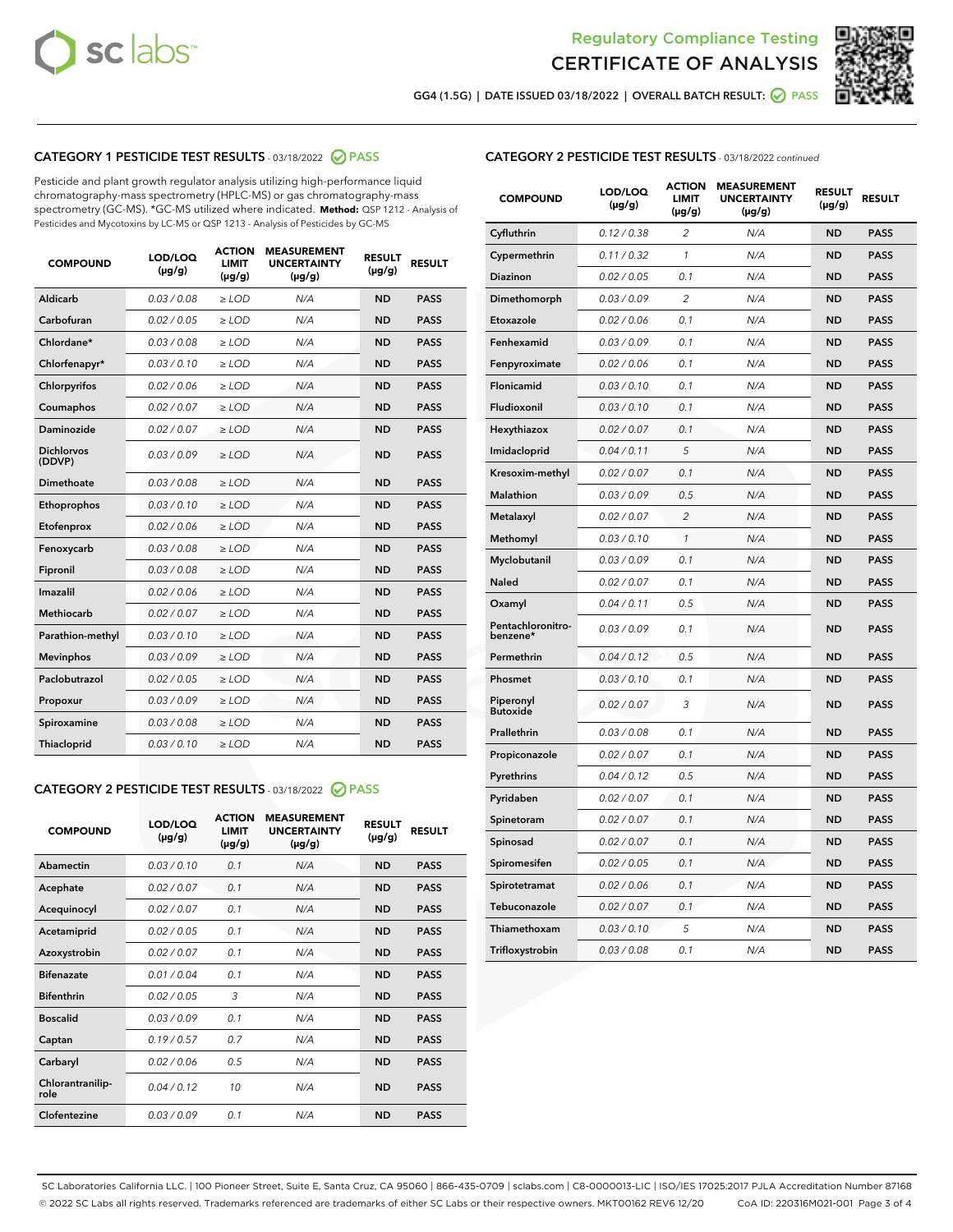



GG4 (1.5G) | DATE ISSUED 03/18/2022 | OVERALL BATCH RESULT: 2 PASS

# CATEGORY 1 PESTICIDE TEST RESULTS - 03/18/2022 2 PASS

Pesticide and plant growth regulator analysis utilizing high-performance liquid chromatography-mass spectrometry (HPLC-MS) or gas chromatography-mass spectrometry (GC-MS). \*GC-MS utilized where indicated. **Method:** QSP 1212 - Analysis of Pesticides and Mycotoxins by LC-MS or QSP 1213 - Analysis of Pesticides by GC-MS

| <b>COMPOUND</b>             | LOD/LOQ<br>$(\mu g/g)$ | <b>ACTION</b><br>LIMIT<br>$(\mu g/g)$ | <b>MEASUREMENT</b><br><b>UNCERTAINTY</b><br>$(\mu g/g)$ | <b>RESULT</b><br>$(\mu g/g)$ | <b>RESULT</b> |
|-----------------------------|------------------------|---------------------------------------|---------------------------------------------------------|------------------------------|---------------|
| Aldicarb                    | 0.03 / 0.08            | $\ge$ LOD                             | N/A                                                     | <b>ND</b>                    | <b>PASS</b>   |
| Carbofuran                  | 0.02 / 0.05            | $\ge$ LOD                             | N/A                                                     | <b>ND</b>                    | <b>PASS</b>   |
| Chlordane*                  | 0.03/0.08              | $>$ LOD                               | N/A                                                     | <b>ND</b>                    | <b>PASS</b>   |
| Chlorfenapyr*               | 0.03/0.10              | $>$ LOD                               | N/A                                                     | <b>ND</b>                    | <b>PASS</b>   |
| Chlorpyrifos                | 0.02 / 0.06            | $\ge$ LOD                             | N/A                                                     | <b>ND</b>                    | <b>PASS</b>   |
| Coumaphos                   | 0.02 / 0.07            | $\ge$ LOD                             | N/A                                                     | <b>ND</b>                    | <b>PASS</b>   |
| Daminozide                  | 0.02 / 0.07            | $\ge$ LOD                             | N/A                                                     | <b>ND</b>                    | <b>PASS</b>   |
| <b>Dichlorvos</b><br>(DDVP) | 0.03/0.09              | $>$ LOD                               | N/A                                                     | <b>ND</b>                    | <b>PASS</b>   |
| Dimethoate                  | 0.03 / 0.08            | $\ge$ LOD                             | N/A                                                     | <b>ND</b>                    | <b>PASS</b>   |
| Ethoprophos                 | 0.03/0.10              | $\ge$ LOD                             | N/A                                                     | <b>ND</b>                    | <b>PASS</b>   |
| Etofenprox                  | 0.02 / 0.06            | $\ge$ LOD                             | N/A                                                     | <b>ND</b>                    | <b>PASS</b>   |
| Fenoxycarb                  | 0.03 / 0.08            | $\ge$ LOD                             | N/A                                                     | <b>ND</b>                    | <b>PASS</b>   |
| Fipronil                    | 0.03 / 0.08            | $\ge$ LOD                             | N/A                                                     | <b>ND</b>                    | <b>PASS</b>   |
| Imazalil                    | 0.02/0.06              | $>$ LOD                               | N/A                                                     | <b>ND</b>                    | <b>PASS</b>   |
| <b>Methiocarb</b>           | 0.02 / 0.07            | $\ge$ LOD                             | N/A                                                     | <b>ND</b>                    | <b>PASS</b>   |
| Parathion-methyl            | 0.03/0.10              | $\ge$ LOD                             | N/A                                                     | <b>ND</b>                    | <b>PASS</b>   |
| <b>Mevinphos</b>            | 0.03/0.09              | $>$ LOD                               | N/A                                                     | <b>ND</b>                    | <b>PASS</b>   |
| Paclobutrazol               | 0.02 / 0.05            | $\ge$ LOD                             | N/A                                                     | <b>ND</b>                    | <b>PASS</b>   |
| Propoxur                    | 0.03/0.09              | $\ge$ LOD                             | N/A                                                     | <b>ND</b>                    | <b>PASS</b>   |
| Spiroxamine                 | 0.03 / 0.08            | $\geq$ LOD                            | N/A                                                     | <b>ND</b>                    | <b>PASS</b>   |
| Thiacloprid                 | 0.03/0.10              | $>$ LOD                               | N/A                                                     | <b>ND</b>                    | <b>PASS</b>   |

# CATEGORY 2 PESTICIDE TEST RESULTS - 03/18/2022 @ PASS

| <b>COMPOUND</b>          | LOD/LOQ<br>$(\mu g/g)$ | <b>ACTION</b><br><b>LIMIT</b><br>$(\mu g/g)$ | <b>MEASUREMENT</b><br><b>UNCERTAINTY</b><br>$(\mu g/g)$ | <b>RESULT</b><br>$(\mu g/g)$ | <b>RESULT</b> |
|--------------------------|------------------------|----------------------------------------------|---------------------------------------------------------|------------------------------|---------------|
| Abamectin                | 0.03/0.10              | 0.1                                          | N/A                                                     | <b>ND</b>                    | <b>PASS</b>   |
| Acephate                 | 0.02/0.07              | 0.1                                          | N/A                                                     | <b>ND</b>                    | <b>PASS</b>   |
| Acequinocyl              | 0.02/0.07              | 0.1                                          | N/A                                                     | <b>ND</b>                    | <b>PASS</b>   |
| Acetamiprid              | 0.02/0.05              | 0.1                                          | N/A                                                     | <b>ND</b>                    | <b>PASS</b>   |
| Azoxystrobin             | 0.02/0.07              | 0.1                                          | N/A                                                     | <b>ND</b>                    | <b>PASS</b>   |
| <b>Bifenazate</b>        | 0.01/0.04              | 0.1                                          | N/A                                                     | <b>ND</b>                    | <b>PASS</b>   |
| <b>Bifenthrin</b>        | 0.02/0.05              | 3                                            | N/A                                                     | <b>ND</b>                    | <b>PASS</b>   |
| <b>Boscalid</b>          | 0.03/0.09              | 0.1                                          | N/A                                                     | <b>ND</b>                    | <b>PASS</b>   |
| Captan                   | 0.19/0.57              | 0.7                                          | N/A                                                     | <b>ND</b>                    | <b>PASS</b>   |
| Carbaryl                 | 0.02/0.06              | 0.5                                          | N/A                                                     | <b>ND</b>                    | <b>PASS</b>   |
| Chlorantranilip-<br>role | 0.04/0.12              | 10                                           | N/A                                                     | <b>ND</b>                    | <b>PASS</b>   |
| Clofentezine             | 0.03/0.09              | 0.1                                          | N/A                                                     | <b>ND</b>                    | <b>PASS</b>   |

# CATEGORY 2 PESTICIDE TEST RESULTS - 03/18/2022 continued

| <b>COMPOUND</b>               | LOD/LOQ<br>(µg/g) | <b>ACTION</b><br><b>LIMIT</b><br>$(\mu g/g)$ | <b>MEASUREMENT</b><br><b>UNCERTAINTY</b><br>$(\mu g/g)$ | <b>RESULT</b><br>(µg/g) | <b>RESULT</b> |
|-------------------------------|-------------------|----------------------------------------------|---------------------------------------------------------|-------------------------|---------------|
| Cyfluthrin                    | 0.12 / 0.38       | $\overline{2}$                               | N/A                                                     | <b>ND</b>               | <b>PASS</b>   |
| Cypermethrin                  | 0.11 / 0.32       | $\mathcal{I}$                                | N/A                                                     | <b>ND</b>               | <b>PASS</b>   |
| <b>Diazinon</b>               | 0.02 / 0.05       | 0.1                                          | N/A                                                     | <b>ND</b>               | <b>PASS</b>   |
| Dimethomorph                  | 0.03 / 0.09       | $\overline{c}$                               | N/A                                                     | <b>ND</b>               | <b>PASS</b>   |
| Etoxazole                     | 0.02 / 0.06       | 0.1                                          | N/A                                                     | <b>ND</b>               | <b>PASS</b>   |
| Fenhexamid                    | 0.03 / 0.09       | 0.1                                          | N/A                                                     | <b>ND</b>               | <b>PASS</b>   |
| Fenpyroximate                 | 0.02 / 0.06       | 0.1                                          | N/A                                                     | <b>ND</b>               | <b>PASS</b>   |
| Flonicamid                    | 0.03 / 0.10       | 0.1                                          | N/A                                                     | <b>ND</b>               | <b>PASS</b>   |
| Fludioxonil                   | 0.03 / 0.10       | 0.1                                          | N/A                                                     | <b>ND</b>               | <b>PASS</b>   |
| Hexythiazox                   | 0.02 / 0.07       | 0.1                                          | N/A                                                     | <b>ND</b>               | <b>PASS</b>   |
| Imidacloprid                  | 0.04 / 0.11       | 5                                            | N/A                                                     | <b>ND</b>               | <b>PASS</b>   |
| Kresoxim-methyl               | 0.02 / 0.07       | 0.1                                          | N/A                                                     | <b>ND</b>               | <b>PASS</b>   |
| <b>Malathion</b>              | 0.03 / 0.09       | 0.5                                          | N/A                                                     | ND                      | <b>PASS</b>   |
| Metalaxyl                     | 0.02 / 0.07       | $\overline{\mathcal{L}}$                     | N/A                                                     | <b>ND</b>               | <b>PASS</b>   |
| Methomyl                      | 0.03 / 0.10       | $\mathbf{1}$                                 | N/A                                                     | <b>ND</b>               | <b>PASS</b>   |
| Myclobutanil                  | 0.03 / 0.09       | 0.1                                          | N/A                                                     | ND                      | <b>PASS</b>   |
| <b>Naled</b>                  | 0.02 / 0.07       | 0.1                                          | N/A                                                     | <b>ND</b>               | <b>PASS</b>   |
| Oxamyl                        | 0.04 / 0.11       | 0.5                                          | N/A                                                     | <b>ND</b>               | <b>PASS</b>   |
| Pentachloronitro-<br>benzene* | 0.03 / 0.09       | 0.1                                          | N/A                                                     | <b>ND</b>               | <b>PASS</b>   |
| Permethrin                    | 0.04 / 0.12       | 0.5                                          | N/A                                                     | ND                      | <b>PASS</b>   |
| Phosmet                       | 0.03 / 0.10       | 0.1                                          | N/A                                                     | <b>ND</b>               | <b>PASS</b>   |
| Piperonyl<br><b>Butoxide</b>  | 0.02 / 0.07       | 3                                            | N/A                                                     | <b>ND</b>               | <b>PASS</b>   |
| Prallethrin                   | 0.03 / 0.08       | 0.1                                          | N/A                                                     | <b>ND</b>               | <b>PASS</b>   |
| Propiconazole                 | 0.02 / 0.07       | 0.1                                          | N/A                                                     | <b>ND</b>               | <b>PASS</b>   |
| Pyrethrins                    | 0.04 / 0.12       | 0.5                                          | N/A                                                     | <b>ND</b>               | <b>PASS</b>   |
| Pyridaben                     | 0.02 / 0.07       | 0.1                                          | N/A                                                     | <b>ND</b>               | <b>PASS</b>   |
| Spinetoram                    | 0.02 / 0.07       | 0.1                                          | N/A                                                     | <b>ND</b>               | <b>PASS</b>   |
| Spinosad                      | 0.02 / 0.07       | 0.1                                          | N/A                                                     | <b>ND</b>               | <b>PASS</b>   |
| Spiromesifen                  | 0.02 / 0.05       | 0.1                                          | N/A                                                     | ND                      | <b>PASS</b>   |
| Spirotetramat                 | 0.02 / 0.06       | 0.1                                          | N/A                                                     | ND                      | <b>PASS</b>   |
| Tebuconazole                  | 0.02 / 0.07       | 0.1                                          | N/A                                                     | <b>ND</b>               | <b>PASS</b>   |
| Thiamethoxam                  | 0.03 / 0.10       | 5                                            | N/A                                                     | ND                      | <b>PASS</b>   |
| Trifloxystrobin               | 0.03 / 0.08       | 0.1                                          | N/A                                                     | <b>ND</b>               | <b>PASS</b>   |

SC Laboratories California LLC. | 100 Pioneer Street, Suite E, Santa Cruz, CA 95060 | 866-435-0709 | sclabs.com | C8-0000013-LIC | ISO/IES 17025:2017 PJLA Accreditation Number 87168 © 2022 SC Labs all rights reserved. Trademarks referenced are trademarks of either SC Labs or their respective owners. MKT00162 REV6 12/20 CoA ID: 220316M021-001 Page 3 of 4